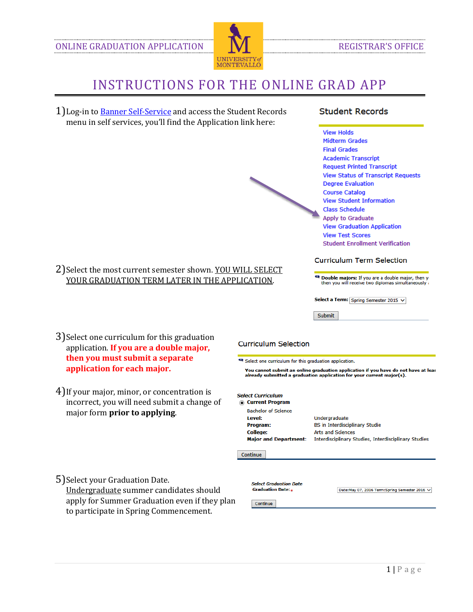

## INSTRUCTIONS FOR THE ONLINE GRAD APP

1) Log-in to **Banner Self-Service** and access the Student Records menu in self services, you'll find the Application link here:

2) Select the most current semester shown. YOU WILL SELECT YOUR GRADUATION TERM LATER IN THE APPLICATION.

### **Student Records**

**View Holds Midterm Grades Final Grades Academic Transcript Request Printed Transcript View Status of Transcript Requests Degree Evaluation Course Catalog View Student Information Class Schedule** Apply to Graduate **View Graduation Application View Test Scores Student Enrollment Verification** 

#### **Curriculum Term Selection**

**4 Double majors:** If you are a double major, then yo then you will receive two diplomas simultaneously a

Select a Term: Spring Semester 2015  $\vee$ 

Submit

3)Select one curriculum for this graduation application. **If you are a double major, then you must submit a separate application for each major.**

#### **Curriculum Selection**

Select one curriculum for this graduation application.

You cannot submit an online graduation application if you have do not have at leas already submitted a graduation application for your current major(s).

| major form <b>prior to applying</b> .        |  |
|----------------------------------------------|--|
| incorrect, you will need submit a change of  |  |
| 4) If your major, minor, or concentration is |  |

| <b>Select Curriculum</b><br><b>Current Program</b>                                                  |                                                                                                                                            |  |
|-----------------------------------------------------------------------------------------------------|--------------------------------------------------------------------------------------------------------------------------------------------|--|
| <b>Bachelor of Science</b><br>Level:<br>Program:<br><b>College:</b><br><b>Major and Department:</b> | Undergraduate<br><b>BS in Interdisciplinary Studie</b><br><b>Arts and Sciences</b><br>Interdisciplinary Studies, Interdisciplinary Studies |  |
| Continue                                                                                            |                                                                                                                                            |  |
| Select Graduation Date                                                                              |                                                                                                                                            |  |

5)Select your Graduation Date.

Undergraduate summer candidates should apply for Summer Graduation even if they plan to participate in Spring Commencement.

Date:May 07, 2016 Term:Spring Semester 2016 V

Continue

**Graduation Date:**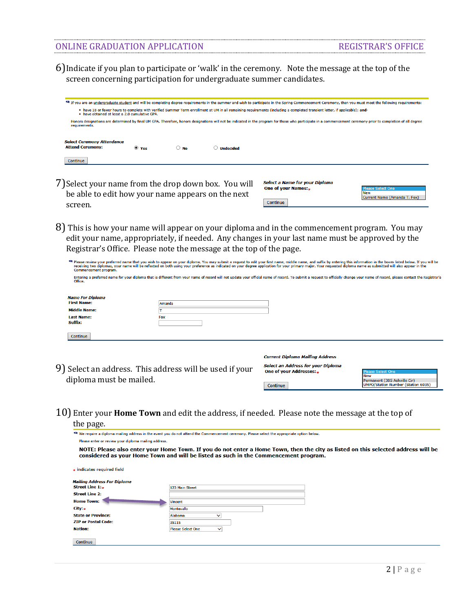#### ONLINE GRADUATION APPLICATION REGISTRAR'S OFFICE

6)Indicate if you plan to participate or 'walk' in the ceremony. Note the message at the top of the screen concerning participation for undergraduate summer candidates.

| If you are an undergraduate student and will be completing degree requirements in the summer and wish to participate in the Spring Commencement Ceremony, then you must meet the following requirements:                        |                                                                                                                                                                                                                               |           |                  |  |
|---------------------------------------------------------------------------------------------------------------------------------------------------------------------------------------------------------------------------------|-------------------------------------------------------------------------------------------------------------------------------------------------------------------------------------------------------------------------------|-----------|------------------|--|
|                                                                                                                                                                                                                                 | • have 18 or fewer hours to complete with verified Summer Term enrollment at UM in all remaining requirements (including a completed transient letter, if applicable); and-<br>. have obtained at least a 2.0 cumulative GPA. |           |                  |  |
| Honors designations are determined by final UM GPA. Therefore, honors designations will not be indicated in the program for those who participate in a commencement ceremony prior to completion of all degree<br>requirements. |                                                                                                                                                                                                                               |           |                  |  |
| <b>Select Ceremony Attendance</b><br><b>Attend Ceremony:</b>                                                                                                                                                                    | $\bullet$ Yes                                                                                                                                                                                                                 | <b>No</b> | <b>Undecided</b> |  |
| Continue                                                                                                                                                                                                                        |                                                                                                                                                                                                                               |           |                  |  |

7)Select your name from the drop down box. You will be able to edit how your name appears on the next screen.

| Select a Name for your Diploma |                              |
|--------------------------------|------------------------------|
| One of your Names:             | Please Select One            |
|                                | <b>New</b>                   |
|                                | Current Name (Amanda T. Fox) |
| <b>Continue</b>                |                              |

8) This is how your name will appear on your diploma and in the commencement program. You may edit your name, appropriately, if needed. Any changes in your last name must be approved by the Registrar's Office. Please note the message at the top of the page.

| Commencement program.                         | Please review your preferred name that you wish to appear on your diploma. You may submit a request to edit your first name, middle name, and suffix by entering this information in the boxes listed below. If you will be<br>receiving two diplomas, your name will be reflected on both using your preference as indicated on your degree application for your primary major. Your requested diploma name as submitted will also appear in the |                                                                     |                                                                                         |  |  |  |
|-----------------------------------------------|---------------------------------------------------------------------------------------------------------------------------------------------------------------------------------------------------------------------------------------------------------------------------------------------------------------------------------------------------------------------------------------------------------------------------------------------------|---------------------------------------------------------------------|-----------------------------------------------------------------------------------------|--|--|--|
| Office.                                       | Entering a preferred name for your diploma that is different from your name of record will not update your official name of record. To submit a request to officially change your name of record, please contact the Registrar                                                                                                                                                                                                                    |                                                                     |                                                                                         |  |  |  |
| <b>Name For Diploma</b><br><b>First Name:</b> | Amanda                                                                                                                                                                                                                                                                                                                                                                                                                                            |                                                                     |                                                                                         |  |  |  |
| <b>Middle Name:</b>                           |                                                                                                                                                                                                                                                                                                                                                                                                                                                   |                                                                     |                                                                                         |  |  |  |
| <b>Last Name:</b><br>Suffix:                  | <b>Fox</b>                                                                                                                                                                                                                                                                                                                                                                                                                                        |                                                                     |                                                                                         |  |  |  |
| <b>Continue</b>                               |                                                                                                                                                                                                                                                                                                                                                                                                                                                   |                                                                     |                                                                                         |  |  |  |
|                                               |                                                                                                                                                                                                                                                                                                                                                                                                                                                   | <b>Current Diploma Mailing Address</b>                              |                                                                                         |  |  |  |
|                                               | 9) Select an address. This address will be used if your                                                                                                                                                                                                                                                                                                                                                                                           | <b>Select an Address for your Diploma</b><br>One of your Addresses: | <b>Please Select One</b>                                                                |  |  |  |
| diploma must be mailed.                       |                                                                                                                                                                                                                                                                                                                                                                                                                                                   | <b>Continue</b>                                                     | <b>New</b><br>Permanent (305 Ashville Cir)<br><b>UMPO/Station Number (Station 6035)</b> |  |  |  |

Continue

10) Enter your **Home Town** and edit the address, if needed. Please note the message at the top of the page

| the page.                                                                                                                                                                                                                 |                                          |  |  |
|---------------------------------------------------------------------------------------------------------------------------------------------------------------------------------------------------------------------------|------------------------------------------|--|--|
| We require a diploma mailing address in the event you do not attend the Commencement ceremony. Please select the appropriate option below.                                                                                |                                          |  |  |
| Please enter or review your diploma mailing address.                                                                                                                                                                      |                                          |  |  |
| NOTE: Please also enter your Home Town. If you do not enter a Home Town, then the city as listed on this selected address will be<br>considered as your Home Town and will be listed as such in the Commencement program. |                                          |  |  |
| indicates required field                                                                                                                                                                                                  |                                          |  |  |
| <b>Mailing Address For Diploma</b>                                                                                                                                                                                        |                                          |  |  |
| Street Line $1.4$                                                                                                                                                                                                         | 123 Main Street                          |  |  |
| <b>Street Line 2:</b>                                                                                                                                                                                                     |                                          |  |  |
| <b>Home Town:</b>                                                                                                                                                                                                         | Vincent                                  |  |  |
| City:*                                                                                                                                                                                                                    | <b>Montevallo</b>                        |  |  |
| <b>State or Province:</b>                                                                                                                                                                                                 | Alabama<br>◡                             |  |  |
| <b>ZIP or Postal Code:</b>                                                                                                                                                                                                | 35115                                    |  |  |
| Nation:                                                                                                                                                                                                                   | <b>Please Select One</b><br>$\checkmark$ |  |  |
| Continue                                                                                                                                                                                                                  |                                          |  |  |
|                                                                                                                                                                                                                           |                                          |  |  |